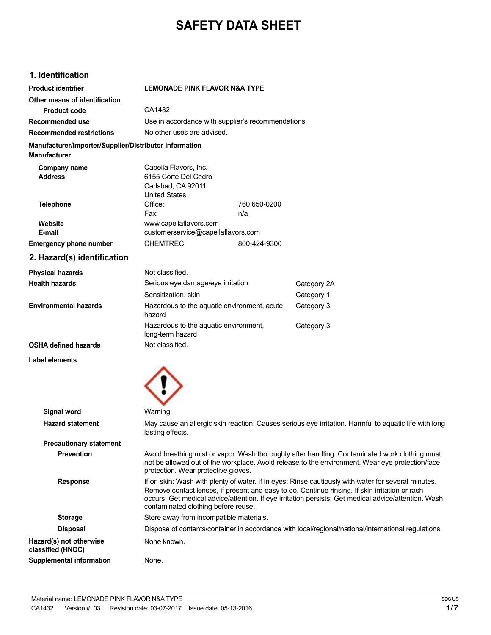# **SAFETY DATA SHEET**

### **1. Identification**

| Product identifier                                                            | <b>LEMONADE PINK FLAVOR N&amp;A TYPE</b>                                                                                                                                                                                                                                                                                                             |              |             |
|-------------------------------------------------------------------------------|------------------------------------------------------------------------------------------------------------------------------------------------------------------------------------------------------------------------------------------------------------------------------------------------------------------------------------------------------|--------------|-------------|
| Other means of identification                                                 |                                                                                                                                                                                                                                                                                                                                                      |              |             |
| <b>Product code</b>                                                           | CA1432                                                                                                                                                                                                                                                                                                                                               |              |             |
| Recommended use                                                               | Use in accordance with supplier's recommendations.                                                                                                                                                                                                                                                                                                   |              |             |
| <b>Recommended restrictions</b>                                               | No other uses are advised.                                                                                                                                                                                                                                                                                                                           |              |             |
| Manufacturer/Importer/Supplier/Distributor information<br><b>Manufacturer</b> |                                                                                                                                                                                                                                                                                                                                                      |              |             |
|                                                                               |                                                                                                                                                                                                                                                                                                                                                      |              |             |
| Company name<br><b>Address</b>                                                | Capella Flavors, Inc.<br>6155 Corte Del Cedro                                                                                                                                                                                                                                                                                                        |              |             |
|                                                                               | Carlsbad, CA 92011                                                                                                                                                                                                                                                                                                                                   |              |             |
|                                                                               | <b>United States</b>                                                                                                                                                                                                                                                                                                                                 |              |             |
| <b>Telephone</b>                                                              | Office:                                                                                                                                                                                                                                                                                                                                              | 760 650-0200 |             |
|                                                                               | Fax:                                                                                                                                                                                                                                                                                                                                                 | n/a          |             |
| Website                                                                       | www.capellaflavors.com                                                                                                                                                                                                                                                                                                                               |              |             |
| E-mail                                                                        | customerservice@capellaflavors.com                                                                                                                                                                                                                                                                                                                   |              |             |
| <b>Emergency phone number</b>                                                 | <b>CHEMTREC</b>                                                                                                                                                                                                                                                                                                                                      | 800-424-9300 |             |
| 2. Hazard(s) identification                                                   |                                                                                                                                                                                                                                                                                                                                                      |              |             |
| <b>Physical hazards</b>                                                       | Not classified.                                                                                                                                                                                                                                                                                                                                      |              |             |
| <b>Health hazards</b>                                                         | Serious eye damage/eye irritation                                                                                                                                                                                                                                                                                                                    |              | Category 2A |
|                                                                               | Sensitization, skin                                                                                                                                                                                                                                                                                                                                  |              | Category 1  |
| <b>Environmental hazards</b>                                                  | Hazardous to the aquatic environment, acute<br>hazard                                                                                                                                                                                                                                                                                                |              | Category 3  |
|                                                                               | Hazardous to the aquatic environment,<br>long-term hazard                                                                                                                                                                                                                                                                                            |              | Category 3  |
| <b>OSHA defined hazards</b>                                                   | Not classified.                                                                                                                                                                                                                                                                                                                                      |              |             |
| Label elements                                                                |                                                                                                                                                                                                                                                                                                                                                      |              |             |
|                                                                               |                                                                                                                                                                                                                                                                                                                                                      |              |             |
| <b>Signal word</b>                                                            | Warning                                                                                                                                                                                                                                                                                                                                              |              |             |
| <b>Hazard statement</b>                                                       | May cause an allergic skin reaction. Causes serious eye irritation. Harmful to aquatic life with long<br>lasting effects.                                                                                                                                                                                                                            |              |             |
| <b>Precautionary statement</b>                                                |                                                                                                                                                                                                                                                                                                                                                      |              |             |
| <b>Prevention</b>                                                             | Avoid breathing mist or vapor. Wash thoroughly after handling. Contaminated work clothing must<br>not be allowed out of the workplace. Avoid release to the environment. Wear eye protection/face<br>protection. Wear protective gloves.                                                                                                             |              |             |
| <b>Response</b>                                                               | If on skin: Wash with plenty of water. If in eyes: Rinse cautiously with water for several minutes.<br>Remove contact lenses, if present and easy to do. Continue rinsing. If skin irritation or rash<br>occurs: Get medical advice/attention. If eye irritation persists: Get medical advice/attention. Wash<br>contaminated clothing before reuse. |              |             |
| <b>Storage</b>                                                                | Store away from incompatible materials.                                                                                                                                                                                                                                                                                                              |              |             |

**Disposal** Dispose of contents/container in accordance with local/regional/national/international regulations. **Hazard(s) not otherwise** None known. **classified (HNOC)**

**Supplemental information** None.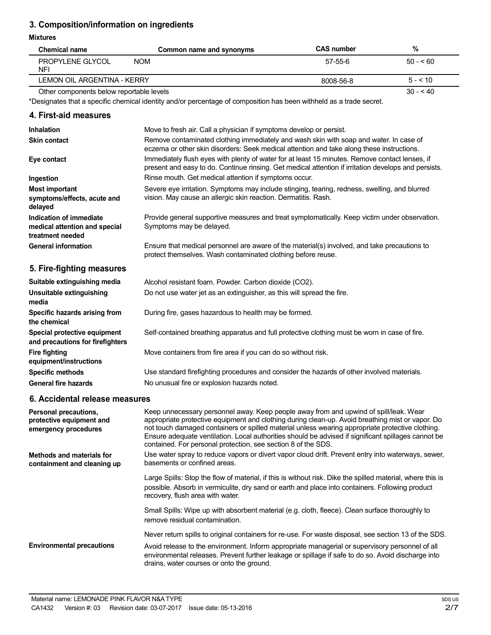## **3. Composition/information on ingredients**

#### **Mixtures**

| <b>Mixtures</b>                                                              |                                                                                                                                                                                                                                                                                                                                                                                                                                                                       |                   |           |
|------------------------------------------------------------------------------|-----------------------------------------------------------------------------------------------------------------------------------------------------------------------------------------------------------------------------------------------------------------------------------------------------------------------------------------------------------------------------------------------------------------------------------------------------------------------|-------------------|-----------|
| <b>Chemical name</b>                                                         | Common name and synonyms                                                                                                                                                                                                                                                                                                                                                                                                                                              | <b>CAS number</b> | %         |
| PROPYLENE GLYCOL<br><b>NFI</b>                                               | <b>NOM</b>                                                                                                                                                                                                                                                                                                                                                                                                                                                            | 57-55-6           | $50 - 60$ |
| <b>LEMON OIL ARGENTINA - KERRY</b>                                           |                                                                                                                                                                                                                                                                                                                                                                                                                                                                       | 8008-56-8         | $5 - 10$  |
| Other components below reportable levels                                     |                                                                                                                                                                                                                                                                                                                                                                                                                                                                       |                   | $30 - 40$ |
|                                                                              | *Designates that a specific chemical identity and/or percentage of composition has been withheld as a trade secret.                                                                                                                                                                                                                                                                                                                                                   |                   |           |
| 4. First-aid measures                                                        |                                                                                                                                                                                                                                                                                                                                                                                                                                                                       |                   |           |
| <b>Inhalation</b>                                                            | Move to fresh air. Call a physician if symptoms develop or persist.                                                                                                                                                                                                                                                                                                                                                                                                   |                   |           |
| <b>Skin contact</b>                                                          | Remove contaminated clothing immediately and wash skin with soap and water. In case of<br>eczema or other skin disorders: Seek medical attention and take along these instructions.                                                                                                                                                                                                                                                                                   |                   |           |
| Eye contact                                                                  | Immediately flush eyes with plenty of water for at least 15 minutes. Remove contact lenses, if<br>present and easy to do. Continue rinsing. Get medical attention if irritation develops and persists.                                                                                                                                                                                                                                                                |                   |           |
| Ingestion                                                                    | Rinse mouth. Get medical attention if symptoms occur.                                                                                                                                                                                                                                                                                                                                                                                                                 |                   |           |
| <b>Most important</b><br>symptoms/effects, acute and<br>delayed              | Severe eye irritation. Symptoms may include stinging, tearing, redness, swelling, and blurred<br>vision. May cause an allergic skin reaction. Dermatitis. Rash.                                                                                                                                                                                                                                                                                                       |                   |           |
| Indication of immediate<br>medical attention and special<br>treatment needed | Provide general supportive measures and treat symptomatically. Keep victim under observation.<br>Symptoms may be delayed.                                                                                                                                                                                                                                                                                                                                             |                   |           |
| <b>General information</b>                                                   | Ensure that medical personnel are aware of the material(s) involved, and take precautions to<br>protect themselves. Wash contaminated clothing before reuse.                                                                                                                                                                                                                                                                                                          |                   |           |
| 5. Fire-fighting measures                                                    |                                                                                                                                                                                                                                                                                                                                                                                                                                                                       |                   |           |
| Suitable extinguishing media                                                 | Alcohol resistant foam. Powder. Carbon dioxide (CO2).                                                                                                                                                                                                                                                                                                                                                                                                                 |                   |           |
| Unsuitable extinguishing<br>media                                            | Do not use water jet as an extinguisher, as this will spread the fire.                                                                                                                                                                                                                                                                                                                                                                                                |                   |           |
| Specific hazards arising from<br>the chemical                                | During fire, gases hazardous to health may be formed.                                                                                                                                                                                                                                                                                                                                                                                                                 |                   |           |
| Special protective equipment<br>and precautions for firefighters             | Self-contained breathing apparatus and full protective clothing must be worn in case of fire.                                                                                                                                                                                                                                                                                                                                                                         |                   |           |
| <b>Fire fighting</b><br>equipment/instructions                               | Move containers from fire area if you can do so without risk.                                                                                                                                                                                                                                                                                                                                                                                                         |                   |           |
| <b>Specific methods</b>                                                      | Use standard firefighting procedures and consider the hazards of other involved materials.                                                                                                                                                                                                                                                                                                                                                                            |                   |           |
| <b>General fire hazards</b>                                                  | No unusual fire or explosion hazards noted.                                                                                                                                                                                                                                                                                                                                                                                                                           |                   |           |
| 6. Accidental release measures                                               |                                                                                                                                                                                                                                                                                                                                                                                                                                                                       |                   |           |
| Personal precautions,<br>protective equipment and<br>emergency procedures    | Keep unnecessary personnel away. Keep people away from and upwind of spill/leak. Wear<br>appropriate protective equipment and clothing during clean-up. Avoid breathing mist or vapor. Do<br>not touch damaged containers or spilled material unless wearing appropriate protective clothing.<br>Ensure adequate ventilation. Local authorities should be advised if significant spillages cannot be<br>contained. For personal protection, see section 8 of the SDS. |                   |           |
| <b>Methods and materials for</b><br>containment and cleaning up              | Use water spray to reduce vapors or divert vapor cloud drift. Prevent entry into waterways, sewer,<br>basements or confined areas.                                                                                                                                                                                                                                                                                                                                    |                   |           |
|                                                                              | Large Spills: Stop the flow of material, if this is without risk. Dike the spilled material, where this is<br>possible. Absorb in vermiculite, dry sand or earth and place into containers. Following product<br>recovery, flush area with water.                                                                                                                                                                                                                     |                   |           |
|                                                                              | Small Spills: Wipe up with absorbent material (e.g. cloth, fleece). Clean surface thoroughly to<br>remove residual contamination.                                                                                                                                                                                                                                                                                                                                     |                   |           |
|                                                                              | Never return spills to original containers for re-use. For waste disposal, see section 13 of the SDS.                                                                                                                                                                                                                                                                                                                                                                 |                   |           |

**Environmental precautions** Avoid release to the environment. Inform appropriate managerial or supervisory personnel of all environmental releases. Prevent further leakage or spillage if safe to do so. Avoid discharge into drains, water courses or onto the ground.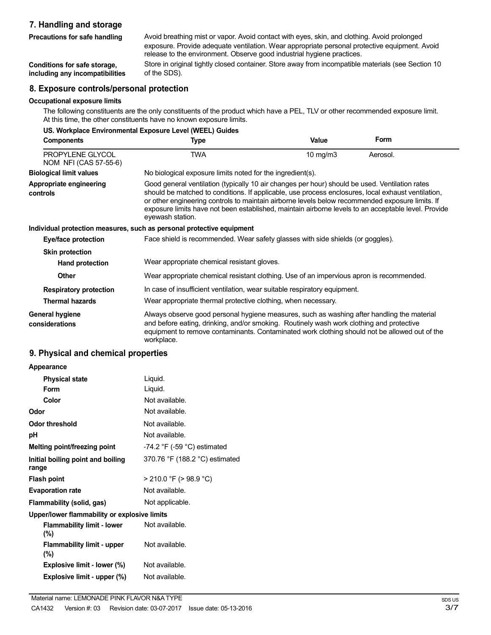### **7. Handling and storage**

**Precautions for safe handling**

Avoid breathing mist or vapor. Avoid contact with eyes, skin, and clothing. Avoid prolonged exposure. Provide adequate ventilation. Wear appropriate personal protective equipment. Avoid release to the environment. Observe good industrial hygiene practices. Store in original tightly closed container. Store away from incompatible materials (see Section 10

**Conditions for safe storage, including any incompatibilities**

# of the SDS).

#### **8. Exposure controls/personal protection**

#### **Occupational exposure limits**

The following constituents are the only constituents of the product which have a PEL, TLV or other recommended exposure limit. At this time, the other constituents have no known exposure limits.

| US. Workplace Environmental Exposure Level (WEEL) Guides |                                                                                                                                                                                                                                                                                                                                                                                                                                    |          |             |  |
|----------------------------------------------------------|------------------------------------------------------------------------------------------------------------------------------------------------------------------------------------------------------------------------------------------------------------------------------------------------------------------------------------------------------------------------------------------------------------------------------------|----------|-------------|--|
| <b>Components</b>                                        | Type                                                                                                                                                                                                                                                                                                                                                                                                                               | Value    | <b>Form</b> |  |
| PROPYLENE GLYCOL<br>NOM NFI (CAS 57-55-6)                | <b>TWA</b>                                                                                                                                                                                                                                                                                                                                                                                                                         | 10 mg/m3 | Aerosol.    |  |
| <b>Biological limit values</b>                           | No biological exposure limits noted for the ingredient(s).                                                                                                                                                                                                                                                                                                                                                                         |          |             |  |
| Appropriate engineering<br>controls                      | Good general ventilation (typically 10 air changes per hour) should be used. Ventilation rates<br>should be matched to conditions. If applicable, use process enclosures, local exhaust ventilation,<br>or other engineering controls to maintain airborne levels below recommended exposure limits. If<br>exposure limits have not been established, maintain airborne levels to an acceptable level. Provide<br>eyewash station. |          |             |  |
|                                                          | Individual protection measures, such as personal protective equipment                                                                                                                                                                                                                                                                                                                                                              |          |             |  |
| Eye/face protection                                      | Face shield is recommended. Wear safety glasses with side shields (or goggles).                                                                                                                                                                                                                                                                                                                                                    |          |             |  |
| <b>Skin protection</b>                                   |                                                                                                                                                                                                                                                                                                                                                                                                                                    |          |             |  |
| <b>Hand protection</b>                                   | Wear appropriate chemical resistant gloves.                                                                                                                                                                                                                                                                                                                                                                                        |          |             |  |
| <b>Other</b>                                             | Wear appropriate chemical resistant clothing. Use of an impervious apron is recommended.                                                                                                                                                                                                                                                                                                                                           |          |             |  |
| <b>Respiratory protection</b>                            | In case of insufficient ventilation, wear suitable respiratory equipment.                                                                                                                                                                                                                                                                                                                                                          |          |             |  |
| <b>Thermal hazards</b>                                   | Wear appropriate thermal protective clothing, when necessary.                                                                                                                                                                                                                                                                                                                                                                      |          |             |  |
| General hygiene<br>considerations                        | Always observe good personal hygiene measures, such as washing after handling the material<br>and before eating, drinking, and/or smoking. Routinely wash work clothing and protective<br>equipment to remove contaminants. Contaminated work clothing should not be allowed out of the<br>workplace.                                                                                                                              |          |             |  |

## **9. Physical and chemical properties**

| 9. Physical and chemical properties        |                                  |
|--------------------------------------------|----------------------------------|
| Appearance                                 |                                  |
| <b>Physical state</b>                      | Liquid.                          |
| Form                                       | Liquid.                          |
| Color                                      | Not available.                   |
| Odor                                       | Not available.                   |
| Odor threshold                             | Not available.                   |
| рH                                         | Not available.                   |
| Melting point/freezing point               | $-74.2$ °F ( $-59$ °C) estimated |
| Initial boiling point and boiling<br>range | 370.76 °F (188.2 °C) estimated   |
| <b>Flash point</b>                         | $>$ 210.0 °F ( $>$ 98.9 °C)      |
| <b>Evaporation rate</b>                    | Not available.                   |
| Flammability (solid, gas)                  | Not applicable.                  |

# **Upper/lower flammability or explosive limits**

**Flammability limit - lower (%) Flammability limit - upper** Not available. Not available. **(%) Explosive limit - lower (%)** Not available. **Explosive limit - upper (%)** Not available.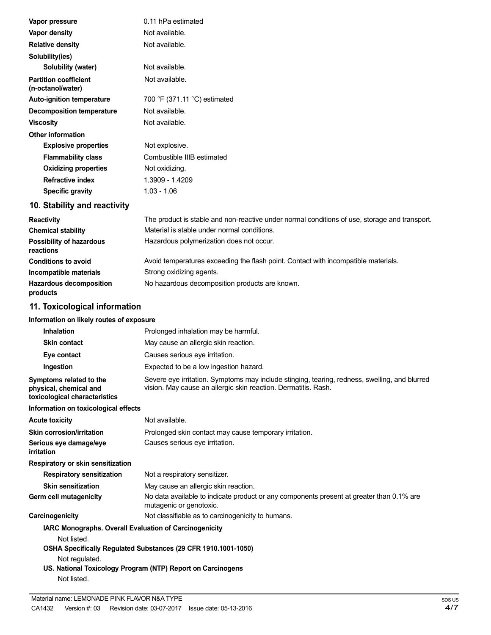| Vapor pressure                                    | 0.11 hPa estimated                                                                            |
|---------------------------------------------------|-----------------------------------------------------------------------------------------------|
| Vapor density                                     | Not available.                                                                                |
| <b>Relative density</b>                           | Not available.                                                                                |
| Solubility(ies)                                   |                                                                                               |
| Solubility (water)                                | Not available.                                                                                |
| <b>Partition coefficient</b><br>(n-octanol/water) | Not available.                                                                                |
| <b>Auto-ignition temperature</b>                  | 700 °F (371.11 °C) estimated                                                                  |
| <b>Decomposition temperature</b>                  | Not available.                                                                                |
| <b>Viscosity</b>                                  | Not available.                                                                                |
| <b>Other information</b>                          |                                                                                               |
| <b>Explosive properties</b>                       | Not explosive.                                                                                |
| <b>Flammability class</b>                         | Combustible IIIB estimated                                                                    |
| <b>Oxidizing properties</b>                       | Not oxidizing.                                                                                |
| <b>Refractive index</b>                           | 1.3909 - 1.4209                                                                               |
| <b>Specific gravity</b>                           | $1.03 - 1.06$                                                                                 |
| 10. Stability and reactivity                      |                                                                                               |
| <b>Reactivity</b>                                 | The product is stable and non-reactive under normal conditions of use, storage and transport. |
| <b>Chemical stability</b>                         | Material is stable under normal conditions.                                                   |
| Possibility of hazardous<br>reactions             | Hazardous polymerization does not occur.                                                      |
| <b>Conditions to avoid</b>                        | Avoid temperatures exceeding the flash point. Contact with incompatible materials.            |
| Incompatible materials                            | Strong oxidizing agents.                                                                      |
| <b>Hazardous decomposition</b><br>products        | No hazardous decomposition products are known.                                                |
| 11. Toxicological information                     |                                                                                               |

# **Information on likely routes of exposure**

| <b>INTO MILLOW OF STREET COLLES OF EXPOSURE</b>                                    |                                                                                                                                                                 |
|------------------------------------------------------------------------------------|-----------------------------------------------------------------------------------------------------------------------------------------------------------------|
| Inhalation                                                                         | Prolonged inhalation may be harmful.                                                                                                                            |
| <b>Skin contact</b>                                                                | May cause an allergic skin reaction.                                                                                                                            |
| Eye contact                                                                        | Causes serious eye irritation.                                                                                                                                  |
| Ingestion                                                                          | Expected to be a low ingestion hazard.                                                                                                                          |
| Symptoms related to the<br>physical, chemical and<br>toxicological characteristics | Severe eye irritation. Symptoms may include stinging, tearing, redness, swelling, and blurred<br>vision. May cause an allergic skin reaction. Dermatitis. Rash. |
| Information on toxicological effects                                               |                                                                                                                                                                 |
| <b>Acute toxicity</b>                                                              | Not available.                                                                                                                                                  |
| <b>Skin corrosion/irritation</b>                                                   | Prolonged skin contact may cause temporary irritation.                                                                                                          |
| Serious eye damage/eye<br>irritation                                               | Causes serious eye irritation.                                                                                                                                  |
| <b>Respiratory or skin sensitization</b>                                           |                                                                                                                                                                 |
| <b>Respiratory sensitization</b>                                                   | Not a respiratory sensitizer.                                                                                                                                   |
| <b>Skin sensitization</b>                                                          | May cause an allergic skin reaction.                                                                                                                            |
| Germ cell mutagenicity                                                             | No data available to indicate product or any components present at greater than 0.1% are<br>mutagenic or genotoxic.                                             |
| Carcinogenicity                                                                    | Not classifiable as to carcinogenicity to humans.                                                                                                               |
| <b>IARC Monographs. Overall Evaluation of Carcinogenicity</b>                      |                                                                                                                                                                 |
| Not listed.                                                                        |                                                                                                                                                                 |
|                                                                                    | OSHA Specifically Regulated Substances (29 CFR 1910.1001-1050)                                                                                                  |
| Not regulated.                                                                     |                                                                                                                                                                 |
|                                                                                    | US. National Toxicology Program (NTP) Report on Carcinogens                                                                                                     |
| Not listed.                                                                        |                                                                                                                                                                 |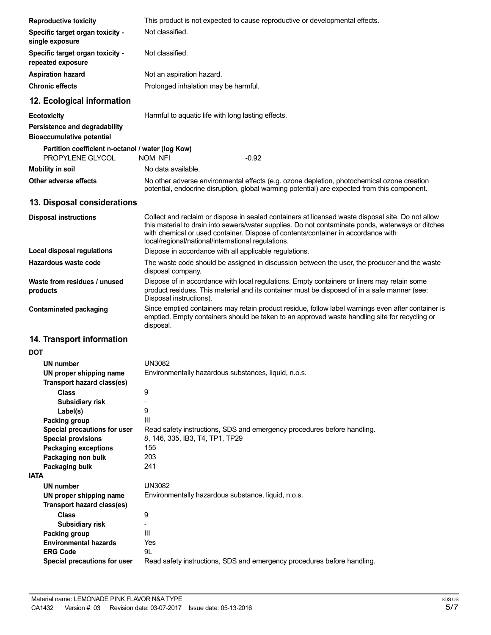| <b>Reproductive toxicity</b>                                          | This product is not expected to cause reproductive or developmental effects.                                                                                                                                                                                                                                                                      |
|-----------------------------------------------------------------------|---------------------------------------------------------------------------------------------------------------------------------------------------------------------------------------------------------------------------------------------------------------------------------------------------------------------------------------------------|
| Specific target organ toxicity -<br>single exposure                   | Not classified.                                                                                                                                                                                                                                                                                                                                   |
| Specific target organ toxicity -<br>repeated exposure                 | Not classified.                                                                                                                                                                                                                                                                                                                                   |
| <b>Aspiration hazard</b>                                              | Not an aspiration hazard.                                                                                                                                                                                                                                                                                                                         |
| <b>Chronic effects</b>                                                | Prolonged inhalation may be harmful.                                                                                                                                                                                                                                                                                                              |
| 12. Ecological information                                            |                                                                                                                                                                                                                                                                                                                                                   |
| <b>Ecotoxicity</b>                                                    | Harmful to aquatic life with long lasting effects.                                                                                                                                                                                                                                                                                                |
| Persistence and degradability<br><b>Bioaccumulative potential</b>     |                                                                                                                                                                                                                                                                                                                                                   |
| Partition coefficient n-octanol / water (log Kow)<br>PROPYLENE GLYCOL | <b>NOM NFI</b><br>$-0.92$                                                                                                                                                                                                                                                                                                                         |
| <b>Mobility in soil</b>                                               | No data available.                                                                                                                                                                                                                                                                                                                                |
| Other adverse effects                                                 | No other adverse environmental effects (e.g. ozone depletion, photochemical ozone creation<br>potential, endocrine disruption, global warming potential) are expected from this component.                                                                                                                                                        |
| 13. Disposal considerations                                           |                                                                                                                                                                                                                                                                                                                                                   |
| <b>Disposal instructions</b>                                          | Collect and reclaim or dispose in sealed containers at licensed waste disposal site. Do not allow<br>this material to drain into sewers/water supplies. Do not contaminate ponds, waterways or ditches<br>with chemical or used container. Dispose of contents/container in accordance with<br>local/regional/national/international regulations. |
| <b>Local disposal regulations</b>                                     | Dispose in accordance with all applicable regulations.                                                                                                                                                                                                                                                                                            |
| Hazardous waste code                                                  | The waste code should be assigned in discussion between the user, the producer and the waste<br>disposal company.                                                                                                                                                                                                                                 |
| Waste from residues / unused<br>products                              | Dispose of in accordance with local regulations. Empty containers or liners may retain some<br>product residues. This material and its container must be disposed of in a safe manner (see:<br>Disposal instructions).                                                                                                                            |
| <b>Contaminated packaging</b>                                         | Since emptied containers may retain product residue, follow label warnings even after container is<br>emptied. Empty containers should be taken to an approved waste handling site for recycling or<br>disposal.                                                                                                                                  |
| 14. Transport information                                             |                                                                                                                                                                                                                                                                                                                                                   |
| DOT                                                                   |                                                                                                                                                                                                                                                                                                                                                   |
| UN number                                                             | UN3082                                                                                                                                                                                                                                                                                                                                            |
| UN proper shipping name<br>Transport hazard class(es)                 | Environmentally hazardous substances, liquid, n.o.s.                                                                                                                                                                                                                                                                                              |
| <b>Class</b>                                                          | 9                                                                                                                                                                                                                                                                                                                                                 |
| Subsidiary risk                                                       | 9                                                                                                                                                                                                                                                                                                                                                 |
| Label(s)<br>Packing group                                             | III                                                                                                                                                                                                                                                                                                                                               |
| Special precautions for user                                          | Read safety instructions, SDS and emergency procedures before handling.                                                                                                                                                                                                                                                                           |
| <b>Special provisions</b>                                             | 8, 146, 335, IB3, T4, TP1, TP29                                                                                                                                                                                                                                                                                                                   |
| <b>Packaging exceptions</b>                                           | 155                                                                                                                                                                                                                                                                                                                                               |
| Packaging non bulk                                                    | 203                                                                                                                                                                                                                                                                                                                                               |
| <b>Packaging bulk</b>                                                 | 241                                                                                                                                                                                                                                                                                                                                               |
| <b>IATA</b>                                                           |                                                                                                                                                                                                                                                                                                                                                   |
| <b>UN number</b>                                                      | <b>UN3082</b>                                                                                                                                                                                                                                                                                                                                     |
| UN proper shipping name<br><b>Transport hazard class(es)</b>          | Environmentally hazardous substance, liquid, n.o.s.                                                                                                                                                                                                                                                                                               |
| <b>Class</b>                                                          | 9                                                                                                                                                                                                                                                                                                                                                 |
| Subsidiary risk                                                       | -                                                                                                                                                                                                                                                                                                                                                 |
| Packing group<br><b>Environmental hazards</b>                         | III<br>Yes                                                                                                                                                                                                                                                                                                                                        |
| <b>ERG Code</b>                                                       | 9L                                                                                                                                                                                                                                                                                                                                                |
| Special precautions for user                                          | Read safety instructions, SDS and emergency procedures before handling.                                                                                                                                                                                                                                                                           |
|                                                                       |                                                                                                                                                                                                                                                                                                                                                   |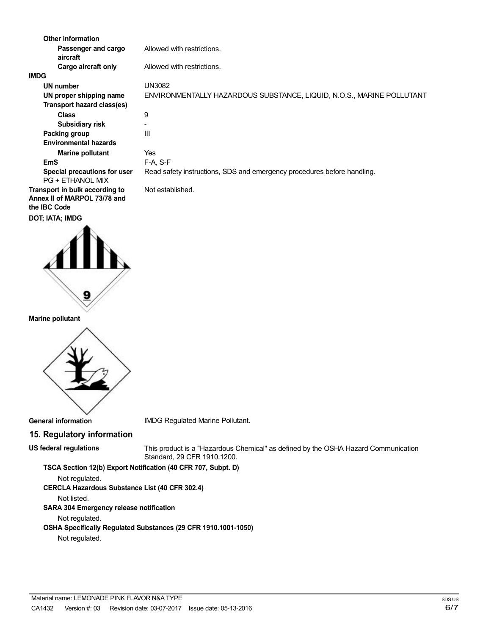| <b>Other information</b>                                                              |                                                                         |
|---------------------------------------------------------------------------------------|-------------------------------------------------------------------------|
| Passenger and cargo<br>aircraft                                                       | Allowed with restrictions.                                              |
| Cargo aircraft only                                                                   | Allowed with restrictions.                                              |
| <b>IMDG</b>                                                                           |                                                                         |
| UN number                                                                             | <b>UN3082</b>                                                           |
| UN proper shipping name                                                               | ENVIRONMENTALLY HAZARDOUS SUBSTANCE, LIQUID, N.O.S., MARINE POLLUTANT   |
| Transport hazard class(es)                                                            |                                                                         |
| <b>Class</b>                                                                          | 9                                                                       |
| Subsidiary risk                                                                       |                                                                         |
| Packing group                                                                         | Ш                                                                       |
| <b>Environmental hazards</b>                                                          |                                                                         |
| <b>Marine pollutant</b>                                                               | Yes                                                                     |
| <b>EmS</b>                                                                            | $F-A. S-F$                                                              |
| Special precautions for user<br><b>PG + ETHANOL MIX</b>                               | Read safety instructions, SDS and emergency procedures before handling. |
| Transport in bulk according to<br>Annex II of MARPOL 73/78 and<br>the <b>IBC</b> Code | Not established.                                                        |
| DOT; IATA; IMDG                                                                       |                                                                         |



#### **Marine pollutant**



**General information**

IMDG Regulated Marine Pollutant.

## **15. Regulatory information**

#### **US federal regulations**

This product is a "Hazardous Chemical" as defined by the OSHA Hazard Communication Standard, 29 CFR 1910.1200.

**TSCA Section 12(b) Export Notification (40 CFR 707, Subpt. D)** Not regulated.

**CERCLA Hazardous Substance List (40 CFR 302.4)**

Not listed. **SARA 304 Emergency release notification**

Not regulated.

**OSHA Specifically Regulated Substances (29 CFR 1910.1001-1050)**

Not regulated.